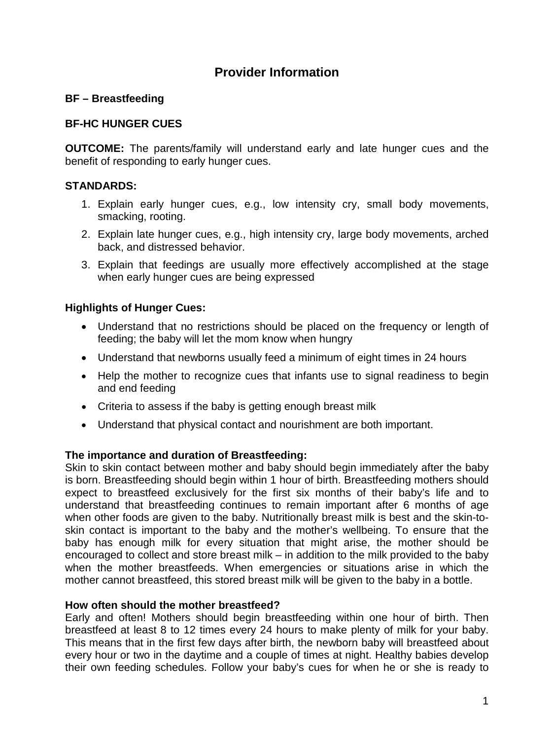# **Provider Information**

# **BF – Breastfeeding**

# **BF-HC HUNGER CUES**

**OUTCOME:** The parents/family will understand early and late hunger cues and the benefit of responding to early hunger cues.

# **STANDARDS:**

- 1. Explain early hunger cues, e.g., low intensity cry, small body movements, smacking, rooting.
- 2. Explain late hunger cues, e.g., high intensity cry, large body movements, arched back, and distressed behavior.
- 3. Explain that feedings are usually more effectively accomplished at the stage when early hunger cues are being expressed

# **Highlights of Hunger Cues:**

- Understand that no restrictions should be placed on the frequency or length of feeding; the baby will let the mom know when hungry
- Understand that newborns usually feed a minimum of eight times in 24 hours
- Help the mother to recognize cues that infants use to signal readiness to begin and end feeding
- Criteria to assess if the baby is getting enough breast milk
- Understand that physical contact and nourishment are both important.

## **The importance and duration of Breastfeeding:**

Skin to skin contact between mother and baby should begin immediately after the baby is born. Breastfeeding should begin within 1 hour of birth. Breastfeeding mothers should expect to breastfeed exclusively for the first six months of their baby's life and to understand that breastfeeding continues to remain important after 6 months of age when other foods are given to the baby. Nutritionally breast milk is best and the skin-toskin contact is important to the baby and the mother's wellbeing. To ensure that the baby has enough milk for every situation that might arise, the mother should be encouraged to collect and store breast milk – in addition to the milk provided to the baby when the mother breastfeeds. When emergencies or situations arise in which the mother cannot breastfeed, this stored breast milk will be given to the baby in a bottle.

## **How often should the mother breastfeed?**

Early and often! Mothers should begin breastfeeding within one hour of birth. Then breastfeed at least 8 to 12 times every 24 hours to make plenty of milk for your baby. This means that in the first few days after birth, the newborn baby will breastfeed about every hour or two in the daytime and a couple of times at night. Healthy babies develop their own feeding schedules. Follow your baby's cues for when he or she is ready to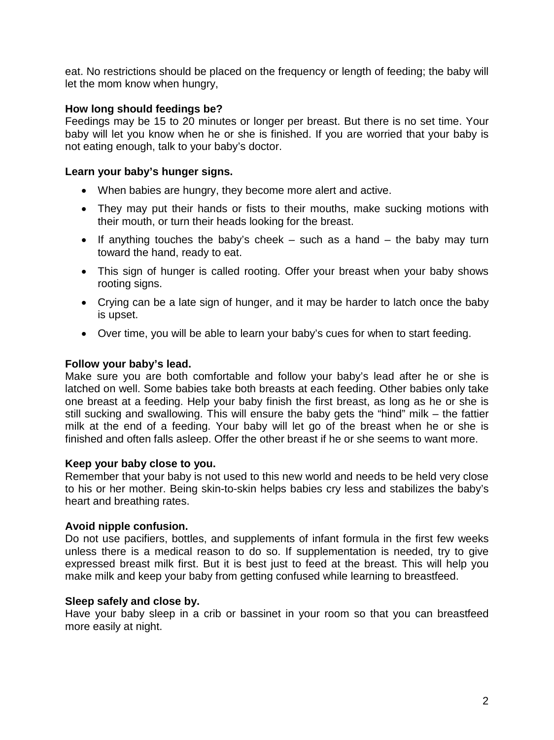eat. No restrictions should be placed on the frequency or length of feeding; the baby will let the mom know when hungry,

### **How long should feedings be?**

Feedings may be 15 to 20 minutes or longer per breast. But there is no set time. Your baby will let you know when he or she is finished. If you are worried that your baby is not eating enough, talk to your baby's doctor.

### **Learn your baby's hunger signs.**

- When babies are hungry, they become more alert and active.
- They may put their hands or fists to their mouths, make sucking motions with their mouth, or turn their heads looking for the breast.
- If anything touches the baby's cheek  $-$  such as a hand  $-$  the baby may turn toward the hand, ready to eat.
- This sign of hunger is called rooting. Offer your breast when your baby shows rooting signs.
- Crying can be a late sign of hunger, and it may be harder to latch once the baby is upset.
- Over time, you will be able to learn your baby's cues for when to start feeding.

#### **Follow your baby's lead.**

Make sure you are both comfortable and follow your baby's lead after he or she is latched on well. Some babies take both breasts at each feeding. Other babies only take one breast at a feeding. Help your baby finish the first breast, as long as he or she is still sucking and swallowing. This will ensure the baby gets the "hind" milk – the fattier milk at the end of a feeding. Your baby will let go of the breast when he or she is finished and often falls asleep. Offer the other breast if he or she seems to want more.

#### **Keep your baby close to you.**

Remember that your baby is not used to this new world and needs to be held very close to his or her mother. Being skin-to-skin helps babies cry less and stabilizes the baby's heart and breathing rates.

#### **Avoid nipple confusion.**

Do not use pacifiers, bottles, and supplements of infant formula in the first few weeks unless there is a medical reason to do so. If supplementation is needed, try to give expressed breast milk first. But it is best just to feed at the breast. This will help you make milk and keep your baby from getting confused while learning to breastfeed.

#### **Sleep safely and close by.**

Have your baby sleep in a crib or bassinet in your room so that you can breastfeed more easily at night.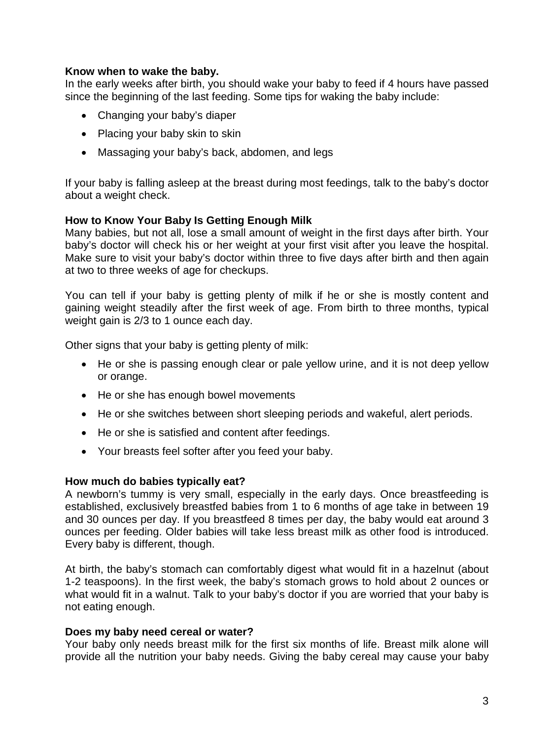### **Know when to wake the baby.**

In the early weeks after birth, you should wake your baby to feed if 4 hours have passed since the beginning of the last feeding. Some tips for waking the baby include:

- Changing your baby's diaper
- Placing your baby skin to skin
- Massaging your baby's back, abdomen, and legs

If your baby is falling asleep at the breast during most feedings, talk to the baby's doctor about a weight check.

### **How to Know Your Baby Is Getting Enough Milk**

Many babies, but not all, lose a small amount of weight in the first days after birth. Your baby's doctor will check his or her weight at your first visit after you leave the hospital. Make sure to visit your baby's doctor within three to five days after birth and then again at two to three weeks of age for checkups.

You can tell if your baby is getting plenty of milk if he or she is mostly content and gaining weight steadily after the first week of age. From birth to three months, typical weight gain is 2/3 to 1 ounce each day.

Other signs that your baby is getting plenty of milk:

- He or she is passing enough clear or pale yellow urine, and it is not deep yellow or orange.
- He or she has enough bowel movements
- He or she switches between short sleeping periods and wakeful, alert periods.
- He or she is satisfied and content after feedings.
- Your breasts feel softer after you feed your baby.

#### **How much do babies typically eat?**

A newborn's tummy is very small, especially in the early days. Once breastfeeding is established, exclusively breastfed babies from 1 to 6 months of age take in between 19 and 30 ounces per day. If you breastfeed 8 times per day, the baby would eat around 3 ounces per feeding. Older babies will take less breast milk as other food is introduced. Every baby is different, though.

At birth, the baby's stomach can comfortably digest what would fit in a hazelnut (about 1-2 teaspoons). In the first week, the baby's stomach grows to hold about 2 ounces or what would fit in a walnut. Talk to your baby's doctor if you are worried that your baby is not eating enough.

#### **Does my baby need cereal or water?**

Your baby only needs breast milk for the first six months of life. Breast milk alone will provide all the nutrition your baby needs. Giving the baby cereal may cause your baby